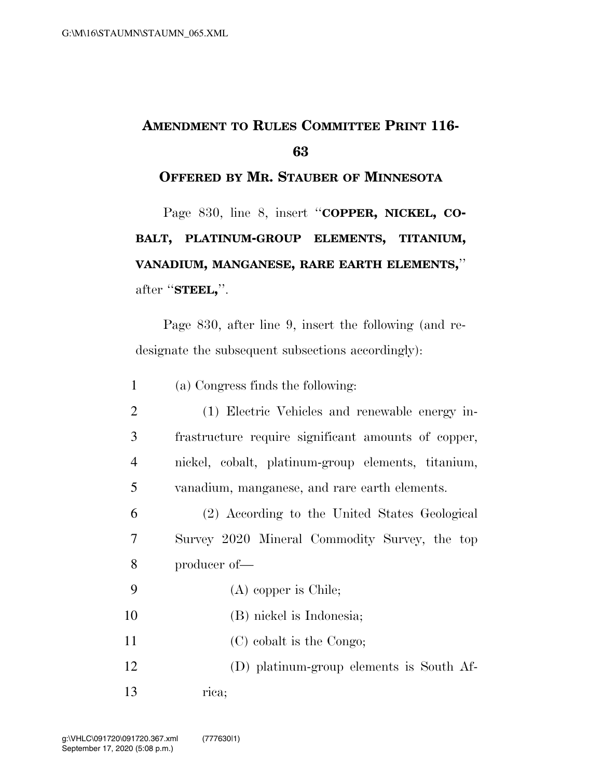## **AMENDMENT TO RULES COMMITTEE PRINT 116- 63**

**OFFERED BY MR. STAUBER OF MINNESOTA**

Page 830, line 8, insert "COPPER, NICKEL, CO-**BALT, PLATINUM-GROUP ELEMENTS, TITANIUM, VANADIUM, MANGANESE, RARE EARTH ELEMENTS,**'' after ''**STEEL,**''.

Page 830, after line 9, insert the following (and redesignate the subsequent subsections accordingly):

1 (a) Congress finds the following:

| 2              | (1) Electric Vehicles and renewable energy in-      |
|----------------|-----------------------------------------------------|
| 3 <sup>1</sup> | frastructure require significant amounts of copper, |
| $\overline{4}$ | nickel, cobalt, platinum-group elements, titanium,  |
| $5^{\circ}$    | vanadium, manganese, and rare earth elements.       |

6 (2) According to the United States Geological 7 Survey 2020 Mineral Commodity Survey, the top 8 producer of—

- 9 (A) copper is Chile;
- 10 (B) nickel is Indonesia;
- 11 (C) cobalt is the Congo;
- 12 (D) platinum-group elements is South Af-13 rica;